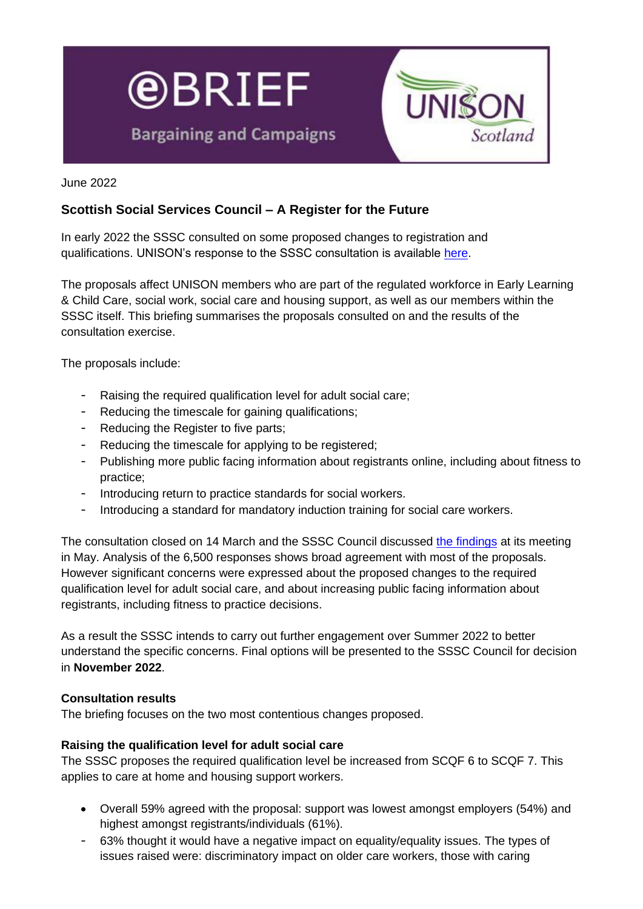

June 2022

# **Scottish Social Services Council – A Register for the Future**

In early 2022 the SSSC consulted on some proposed changes to registration and qualifications. UNISON's response to the SSSC consultation is available [here.](https://unison-scotland.org/wp-content/uploads/FINAL-SSSC-Register-March-2022.pdf)

The proposals affect UNISON members who are part of the regulated workforce in Early Learning & Child Care, social work, social care and housing support, as well as our members within the SSSC itself. This briefing summarises the proposals consulted on and the results of the consultation exercise.

The proposals include:

- Raising the required qualification level for adult social care;
- Reducing the timescale for gaining qualifications;
- Reducing the Register to five parts;
- Reducing the timescale for applying to be registered;
- Publishing more public facing information about registrants online, including about fitness to practice;
- Introducing return to practice standards for social workers.
- Introducing a standard for mandatory induction training for social care workers.

The consultation closed on 14 March and the SSSC Council discussed [the findings](https://www.sssc.uk.com/knowledgebase/article/KA-03283/en-us) at its meeting in May. Analysis of the 6,500 responses shows broad agreement with most of the proposals. However significant concerns were expressed about the proposed changes to the required qualification level for adult social care, and about increasing public facing information about registrants, including fitness to practice decisions.

As a result the SSSC intends to carry out further engagement over Summer 2022 to better understand the specific concerns. Final options will be presented to the SSSC Council for decision in **November 2022**.

### **Consultation results**

The briefing focuses on the two most contentious changes proposed.

### **Raising the qualification level for adult social care**

The SSSC proposes the required qualification level be increased from SCQF 6 to SCQF 7. This applies to care at home and housing support workers.

- Overall 59% agreed with the proposal: support was lowest amongst employers (54%) and highest amongst registrants/individuals (61%).
- 63% thought it would have a negative impact on equality/equality issues. The types of issues raised were: discriminatory impact on older care workers, those with caring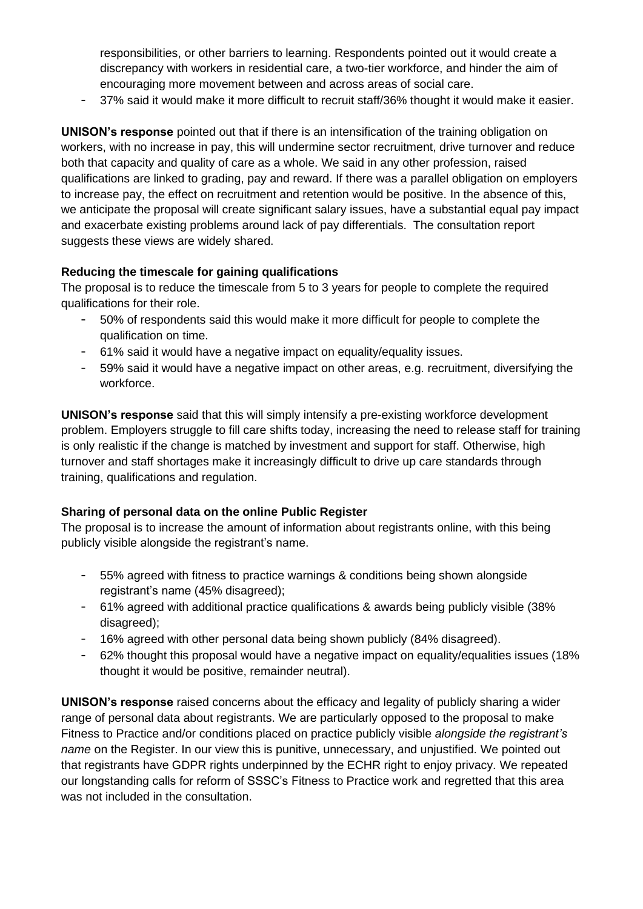responsibilities, or other barriers to learning. Respondents pointed out it would create a discrepancy with workers in residential care, a two-tier workforce, and hinder the aim of encouraging more movement between and across areas of social care.

- 37% said it would make it more difficult to recruit staff/36% thought it would make it easier.

**UNISON's response** pointed out that if there is an intensification of the training obligation on workers, with no increase in pay, this will undermine sector recruitment, drive turnover and reduce both that capacity and quality of care as a whole. We said in any other profession, raised qualifications are linked to grading, pay and reward. If there was a parallel obligation on employers to increase pay, the effect on recruitment and retention would be positive. In the absence of this, we anticipate the proposal will create significant salary issues, have a substantial equal pay impact and exacerbate existing problems around lack of pay differentials. The consultation report suggests these views are widely shared.

## **Reducing the timescale for gaining qualifications**

The proposal is to reduce the timescale from 5 to 3 years for people to complete the required qualifications for their role.

- 50% of respondents said this would make it more difficult for people to complete the qualification on time.
- 61% said it would have a negative impact on equality/equality issues.
- 59% said it would have a negative impact on other areas, e.g. recruitment, diversifying the workforce.

**UNISON's response** said that this will simply intensify a pre-existing workforce development problem. Employers struggle to fill care shifts today, increasing the need to release staff for training is only realistic if the change is matched by investment and support for staff. Otherwise, high turnover and staff shortages make it increasingly difficult to drive up care standards through training, qualifications and regulation.

## **Sharing of personal data on the online Public Register**

The proposal is to increase the amount of information about registrants online, with this being publicly visible alongside the registrant's name.

- 55% agreed with fitness to practice warnings & conditions being shown alongside registrant's name (45% disagreed);
- 61% agreed with additional practice qualifications & awards being publicly visible (38% disagreed):
- 16% agreed with other personal data being shown publicly (84% disagreed).
- 62% thought this proposal would have a negative impact on equality/equalities issues (18% thought it would be positive, remainder neutral).

**UNISON's response** raised concerns about the efficacy and legality of publicly sharing a wider range of personal data about registrants. We are particularly opposed to the proposal to make Fitness to Practice and/or conditions placed on practice publicly visible *alongside the registrant's name* on the Register. In our view this is punitive, unnecessary, and unjustified. We pointed out that registrants have GDPR rights underpinned by the ECHR right to enjoy privacy. We repeated our longstanding calls for reform of SSSC's Fitness to Practice work and regretted that this area was not included in the consultation.